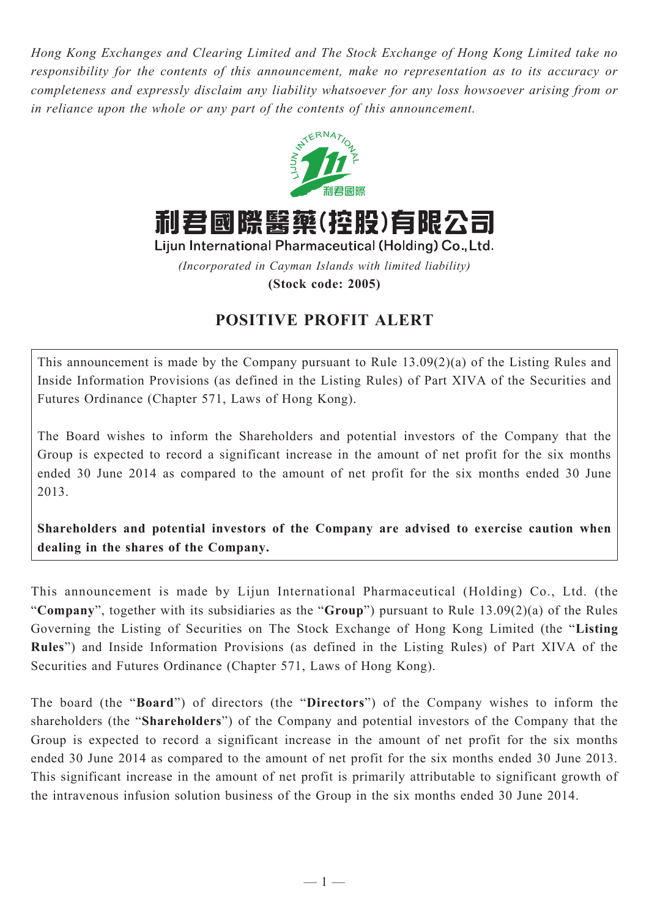*Hong Kong Exchanges and Clearing Limited and The Stock Exchange of Hong Kong Limited take no responsibility for the contents of this announcement, make no representation as to its accuracy or completeness and expressly disclaim any liability whatsoever for any loss howsoever arising from or in reliance upon the whole or any part of the contents of this announcement.*



利君國際醫藥(控股)有限公司

Lijun International Pharmaceutical (Holding) Co., Ltd.

*(Incorporated in Cayman Islands with limited liability)*

**(Stock code: 2005)**

## **POSITIVE PROFIT ALERT**

This announcement is made by the Company pursuant to Rule 13.09(2)(a) of the Listing Rules and Inside Information Provisions (as defined in the Listing Rules) of Part XIVA of the Securities and Futures Ordinance (Chapter 571, Laws of Hong Kong).

The Board wishes to inform the Shareholders and potential investors of the Company that the Group is expected to record a significant increase in the amount of net profit for the six months ended 30 June 2014 as compared to the amount of net profit for the six months ended 30 June 2013.

**Shareholders and potential investors of the Company are advised to exercise caution when dealing in the shares of the Company.**

This announcement is made by Lijun International Pharmaceutical (Holding) Co., Ltd. (the "**Company**", together with its subsidiaries as the "**Group**") pursuant to Rule 13.09(2)(a) of the Rules Governing the Listing of Securities on The Stock Exchange of Hong Kong Limited (the "**Listing Rules**") and Inside Information Provisions (as defined in the Listing Rules) of Part XIVA of the Securities and Futures Ordinance (Chapter 571, Laws of Hong Kong).

The board (the "**Board**") of directors (the "**Directors**") of the Company wishes to inform the shareholders (the "**Shareholders**") of the Company and potential investors of the Company that the Group is expected to record a significant increase in the amount of net profit for the six months ended 30 June 2014 as compared to the amount of net profit for the six months ended 30 June 2013. This significant increase in the amount of net profit is primarily attributable to significant growth of the intravenous infusion solution business of the Group in the six months ended 30 June 2014.